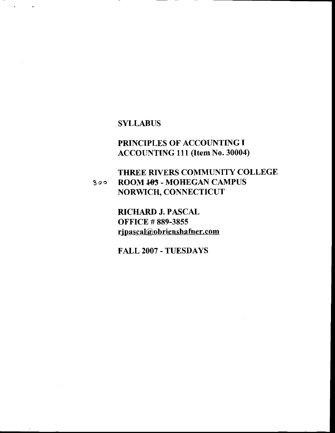## **SYLLABUS**

 $\ddot{\phantom{a}}$ 

 $\ddot{\phantom{a}}$ 

 $\bullet$ 

# PRINCIPLES OF ACCOUNTING I ACCOUNTING 111 (Item No. 30004)

#### THREE RIVERS COMMUNITY COLLEGE ROOM 103 - MOHEGAN CAMPUS  $300$ NORWICH, CONNECTICUT

RICHARD J. PASCAL **OFFICE #889-3855** rjpascal@obrienshafner.com

FALL 2007 - TUESDAYS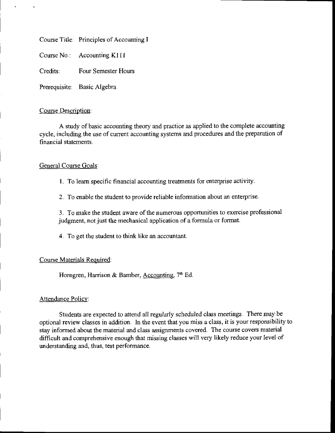Course Title: Principles of Accounting I

Course No.: Accounting K111

Credits: Four Semester Hours

Prerequisite: Basic Algebra

#### Course Description:

A study of basic accounting theory and practice as applied to the complete accounting cycle, including the use of current accounting systems and procedures and the preparation of financial statements.

### General Course Goals:

l. To leam specific financial accounting treatrnents for antetprise activity.

2. To enable the student to provide reliable information about an enterprise

3. To make the student aware of the numerous opportunities to exercise professional judgment, not just the mechanical application of a formula or format.

4. To get the student to think like an accountant.

### Course Materials Required:

Horngren, Harrison & Bamber, Accounting,  $7<sup>th</sup>$  Ed.

#### Attendance Policy:

Students are expected to attend all regularly scheduled class meetings. There may be optional review classes in addition. In the event that you miss a class, it is your responsibility to stay informed about the material and class assignments covered. The course covers material difficult and comprehensive enough that missing classes will very likely reduce your level of understanding and, thus, test performance.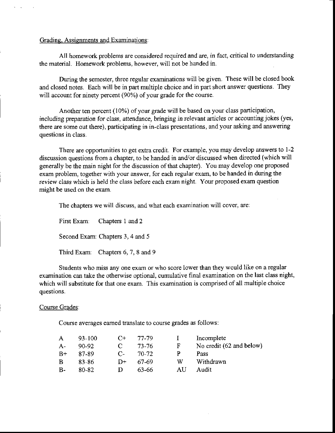#### Grading, Assignments and Examinations:

All homework problems are considered required and are, in fact, critical to understanding the material. Homework problems, however, will not be handed in.

During the semester, three reguiar examinations will be given. These will be closed book and closed notes. Each will be in part multiple choice and in part short answer questions. They will account for ninety percent (90%) of your grade for the course.

Another ten percent (10%) of your grade will be based on your class participation, including preparation for class, attendance, bringing in relevant articles or accounting jokes (yes, there are some out there), participating in in-class presentations, and your asking and answering questions in class.

There are opportunities to get extra credit. For example, you may develop answers to 1-2 discussion questions from a chapter, to be handed in and/or discussed when directed (which will generally be the main night for the discussion of that chapter). You may develop one proposed exam problem, together with your answer, for each regular exam, to be handed in during the review class which is held the class before each exam night. Your proposed exam question mieht be used on the exam.

The chapters we will discuss, and what each examination will cover, are:

First Exam: Chapters 1 and 2 Second Exam: Chapters 3, 4 and 5 Third Exam: Chapters 6, 7, 8 and 9

Students who miss any one exam or who score lower than they would like on a regular examination can take the otherwise optional, cumulative final examination on the last class night, which will substitute for that one exam. This examination is comprised of all multiple choice questions.

#### Course Grades:

Course averages earned translate to course grades as follows:

| A         | 93-100 | $C_{\pm}$ | 77-79 |             | Incomplete               |
|-----------|--------|-----------|-------|-------------|--------------------------|
| $A-$      | 90-92  | C         | 73-76 | $\mathbf F$ | No credit (62 and below) |
| $B+$      | 87-89  | $C_{\pm}$ | 70-72 | р           | Pass                     |
| B         | 83-86  | $D+$      | 67-69 | W           | Withdrawn                |
| <b>B-</b> | 80-82  | D         | 63-66 | AU          | Audit                    |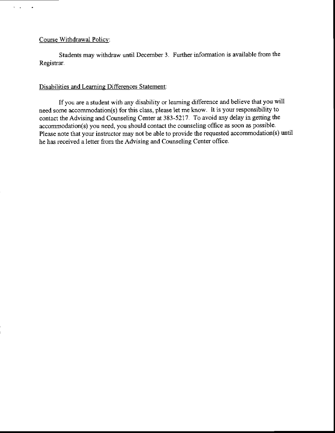#### Course Withdrawal Policy:

 $\mathbf{r}=\mathbf{r}$ 

 $\bullet$ 

Students may withdraw until December 3. Further information is available from the Registrar.

#### Disabilities and Leaming Differences Statement:

Ifyou are a student with any disability or learning difference and believe that you will need some accommodation(s) for this class, please let me know. It is your responsibility to contact the Advising and Counseling Center at 383-5217. To avoid any delay in getting the accommodation(s) you need, you should contact the counseling office as soon as possible. Please note that your instructor may not be able to provide the requested accommodation(s) until he has received a letter from the Advising and Counseling Center office.